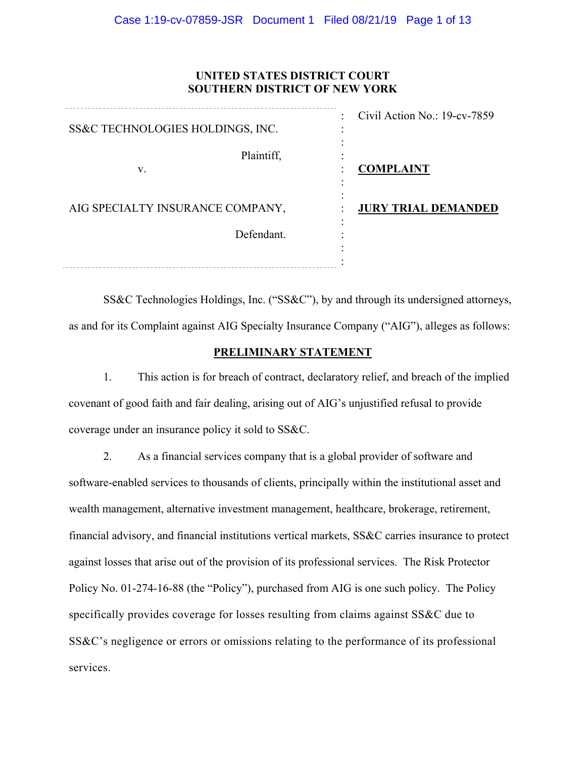## **UNITED STATES DISTRICT COURT SOUTHERN DISTRICT OF NEW YORK**

| SS&C TECHNOLOGIES HOLDINGS, INC. | Civil Action No.: 19-cv-7859<br>٠ |
|----------------------------------|-----------------------------------|
| Plaintiff,<br>V.                 | <b>COMPLAINT</b>                  |
| AIG SPECIALTY INSURANCE COMPANY, | <b>JURY TRIAL DEMANDED</b>        |
| Defendant.                       |                                   |
|                                  |                                   |

SS&C Technologies Holdings, Inc. ("SS&C"), by and through its undersigned attorneys, as and for its Complaint against AIG Specialty Insurance Company ("AIG"), alleges as follows:

# **PRELIMINARY STATEMENT**

1. This action is for breach of contract, declaratory relief, and breach of the implied covenant of good faith and fair dealing, arising out of AIG's unjustified refusal to provide coverage under an insurance policy it sold to SS&C.

2. As a financial services company that is a global provider of software and software-enabled services to thousands of clients, principally within the institutional asset and wealth management, alternative investment management, healthcare, brokerage, retirement, financial advisory, and financial institutions vertical markets, SS&C carries insurance to protect against losses that arise out of the provision of its professional services. The Risk Protector Policy No. 01-274-16-88 (the "Policy"), purchased from AIG is one such policy. The Policy specifically provides coverage for losses resulting from claims against SS&C due to SS&C's negligence or errors or omissions relating to the performance of its professional services.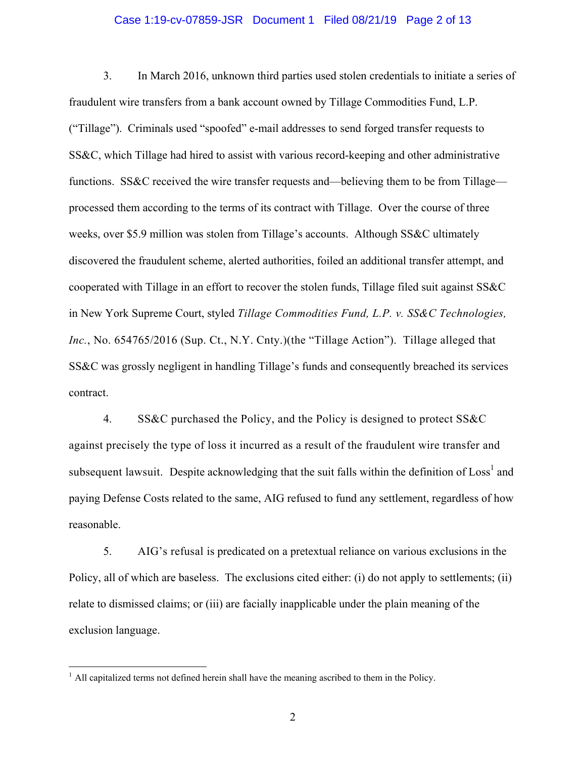#### Case 1:19-cv-07859-JSR Document 1 Filed 08/21/19 Page 2 of 13

3. In March 2016, unknown third parties used stolen credentials to initiate a series of fraudulent wire transfers from a bank account owned by Tillage Commodities Fund, L.P. ("Tillage"). Criminals used "spoofed" e-mail addresses to send forged transfer requests to SS&C, which Tillage had hired to assist with various record-keeping and other administrative functions. SS&C received the wire transfer requests and—believing them to be from Tillage processed them according to the terms of its contract with Tillage. Over the course of three weeks, over \$5.9 million was stolen from Tillage's accounts. Although SS&C ultimately discovered the fraudulent scheme, alerted authorities, foiled an additional transfer attempt, and cooperated with Tillage in an effort to recover the stolen funds, Tillage filed suit against SS&C in New York Supreme Court, styled *Tillage Commodities Fund, L.P. v. SS&C Technologies,*  Inc., No. 654765/2016 (Sup. Ct., N.Y. Cnty.)(the "Tillage Action"). Tillage alleged that SS&C was grossly negligent in handling Tillage's funds and consequently breached its services contract.

4. SS&C purchased the Policy, and the Policy is designed to protect SS&C against precisely the type of loss it incurred as a result of the fraudulent wire transfer and subsequent lawsuit. Despite acknowledging that the suit falls within the definition of  $\text{Loss}^1$  and paying Defense Costs related to the same, AIG refused to fund any settlement, regardless of how reasonable.

5. AIG's refusal is predicated on a pretextual reliance on various exclusions in the Policy, all of which are baseless. The exclusions cited either: (i) do not apply to settlements; (ii) relate to dismissed claims; or (iii) are facially inapplicable under the plain meaning of the exclusion language.

<u>.</u>

 $<sup>1</sup>$  All capitalized terms not defined herein shall have the meaning ascribed to them in the Policy.</sup>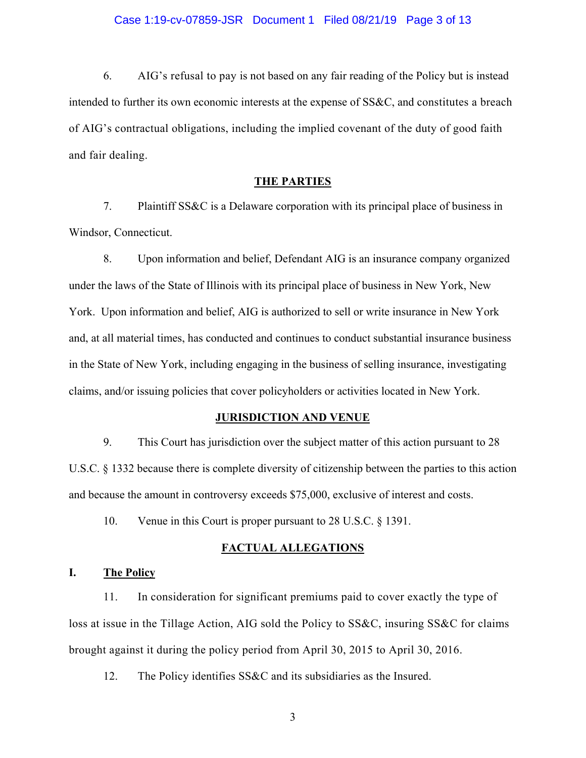6. AIG's refusal to pay is not based on any fair reading of the Policy but is instead intended to further its own economic interests at the expense of SS&C, and constitutes a breach of AIG's contractual obligations, including the implied covenant of the duty of good faith and fair dealing.

### **THE PARTIES**

7. Plaintiff SS&C is a Delaware corporation with its principal place of business in Windsor, Connecticut.

8. Upon information and belief, Defendant AIG is an insurance company organized under the laws of the State of Illinois with its principal place of business in New York, New York. Upon information and belief, AIG is authorized to sell or write insurance in New York and, at all material times, has conducted and continues to conduct substantial insurance business in the State of New York, including engaging in the business of selling insurance, investigating claims, and/or issuing policies that cover policyholders or activities located in New York.

#### **JURISDICTION AND VENUE**

9. This Court has jurisdiction over the subject matter of this action pursuant to 28 U.S.C. § 1332 because there is complete diversity of citizenship between the parties to this action and because the amount in controversy exceeds \$75,000, exclusive of interest and costs.

10. Venue in this Court is proper pursuant to 28 U.S.C. § 1391.

# **FACTUAL ALLEGATIONS**

## **I. The Policy**

11. In consideration for significant premiums paid to cover exactly the type of loss at issue in the Tillage Action, AIG sold the Policy to SS&C, insuring SS&C for claims brought against it during the policy period from April 30, 2015 to April 30, 2016.

12. The Policy identifies SS&C and its subsidiaries as the Insured.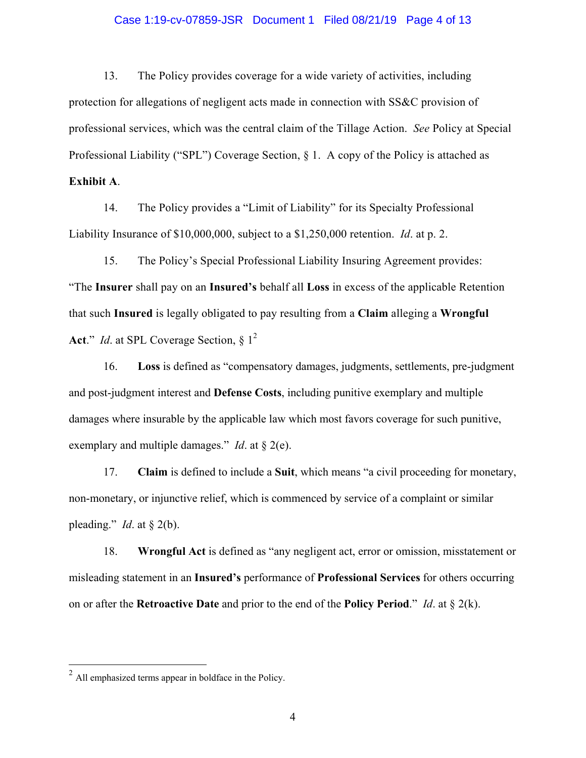#### Case 1:19-cv-07859-JSR Document 1 Filed 08/21/19 Page 4 of 13

13. The Policy provides coverage for a wide variety of activities, including protection for allegations of negligent acts made in connection with SS&C provision of professional services, which was the central claim of the Tillage Action. *See* Policy at Special Professional Liability ("SPL") Coverage Section, § 1. A copy of the Policy is attached as

**Exhibit A**.

14. The Policy provides a "Limit of Liability" for its Specialty Professional Liability Insurance of \$10,000,000, subject to a \$1,250,000 retention. *Id*. at p. 2.

15. The Policy's Special Professional Liability Insuring Agreement provides: "The **Insurer** shall pay on an **Insured's** behalf all **Loss** in excess of the applicable Retention that such **Insured** is legally obligated to pay resulting from a **Claim** alleging a **Wrongful**  Act." *Id.* at SPL Coverage Section, § 1<sup>2</sup>

16. **Loss** is defined as "compensatory damages, judgments, settlements, pre-judgment and post-judgment interest and **Defense Costs**, including punitive exemplary and multiple damages where insurable by the applicable law which most favors coverage for such punitive, exemplary and multiple damages." *Id*. at § 2(e).

17. **Claim** is defined to include a **Suit**, which means "a civil proceeding for monetary, non-monetary, or injunctive relief, which is commenced by service of a complaint or similar pleading." *Id.* at  $\S$  2(b).

18. **Wrongful Act** is defined as "any negligent act, error or omission, misstatement or misleading statement in an **Insured's** performance of **Professional Services** for others occurring on or after the **Retroactive Date** and prior to the end of the **Policy Period**." *Id*. at § 2(k).

<u>.</u>

 $2<sup>2</sup>$  All emphasized terms appear in boldface in the Policy.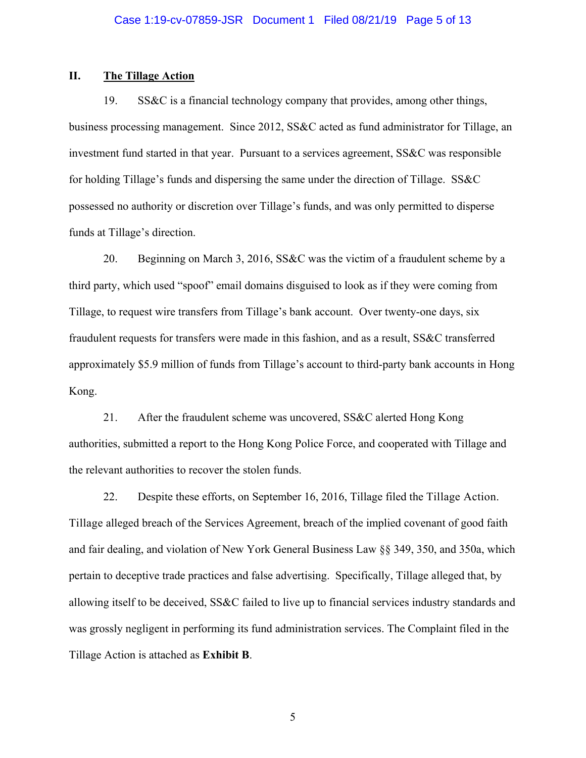## **II. The Tillage Action**

19. SS&C is a financial technology company that provides, among other things, business processing management. Since 2012, SS&C acted as fund administrator for Tillage, an investment fund started in that year. Pursuant to a services agreement, SS&C was responsible for holding Tillage's funds and dispersing the same under the direction of Tillage. SS&C possessed no authority or discretion over Tillage's funds, and was only permitted to disperse funds at Tillage's direction.

20. Beginning on March 3, 2016, SS&C was the victim of a fraudulent scheme by a third party, which used "spoof" email domains disguised to look as if they were coming from Tillage, to request wire transfers from Tillage's bank account. Over twenty-one days, six fraudulent requests for transfers were made in this fashion, and as a result, SS&C transferred approximately \$5.9 million of funds from Tillage's account to third-party bank accounts in Hong Kong.

21. After the fraudulent scheme was uncovered, SS&C alerted Hong Kong authorities, submitted a report to the Hong Kong Police Force, and cooperated with Tillage and the relevant authorities to recover the stolen funds.

22. Despite these efforts, on September 16, 2016, Tillage filed the Tillage Action. Tillage alleged breach of the Services Agreement, breach of the implied covenant of good faith and fair dealing, and violation of New York General Business Law §§ 349, 350, and 350a, which pertain to deceptive trade practices and false advertising. Specifically, Tillage alleged that, by allowing itself to be deceived, SS&C failed to live up to financial services industry standards and was grossly negligent in performing its fund administration services. The Complaint filed in the Tillage Action is attached as **Exhibit B**.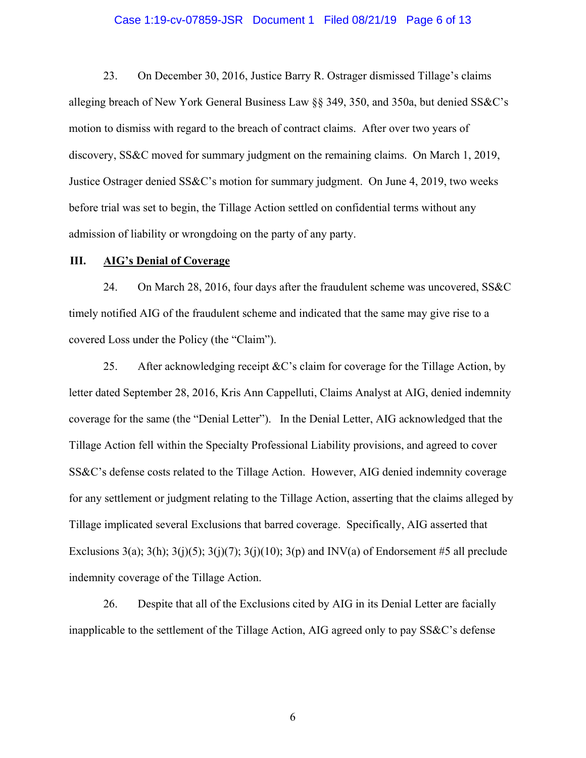#### Case 1:19-cv-07859-JSR Document 1 Filed 08/21/19 Page 6 of 13

23. On December 30, 2016, Justice Barry R. Ostrager dismissed Tillage's claims alleging breach of New York General Business Law §§ 349, 350, and 350a, but denied SS&C's motion to dismiss with regard to the breach of contract claims. After over two years of discovery, SS&C moved for summary judgment on the remaining claims. On March 1, 2019, Justice Ostrager denied SS&C's motion for summary judgment. On June 4, 2019, two weeks before trial was set to begin, the Tillage Action settled on confidential terms without any admission of liability or wrongdoing on the party of any party.

### **III. AIG's Denial of Coverage**

24. On March 28, 2016, four days after the fraudulent scheme was uncovered, SS&C timely notified AIG of the fraudulent scheme and indicated that the same may give rise to a covered Loss under the Policy (the "Claim").

25. After acknowledging receipt  $\&C$ 's claim for coverage for the Tillage Action, by letter dated September 28, 2016, Kris Ann Cappelluti, Claims Analyst at AIG, denied indemnity coverage for the same (the "Denial Letter"). In the Denial Letter, AIG acknowledged that the Tillage Action fell within the Specialty Professional Liability provisions, and agreed to cover SS&C's defense costs related to the Tillage Action. However, AIG denied indemnity coverage for any settlement or judgment relating to the Tillage Action, asserting that the claims alleged by Tillage implicated several Exclusions that barred coverage. Specifically, AIG asserted that Exclusions 3(a); 3(h); 3(j)(5); 3(j)(7); 3(j)(10); 3(p) and INV(a) of Endorsement #5 all preclude indemnity coverage of the Tillage Action.

26. Despite that all of the Exclusions cited by AIG in its Denial Letter are facially inapplicable to the settlement of the Tillage Action, AIG agreed only to pay SS&C's defense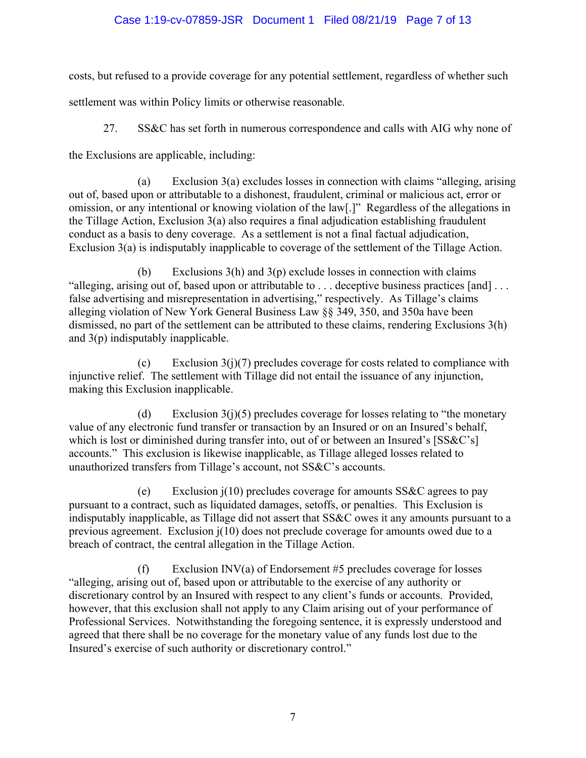# Case 1:19-cv-07859-JSR Document 1 Filed 08/21/19 Page 7 of 13

costs, but refused to a provide coverage for any potential settlement, regardless of whether such

settlement was within Policy limits or otherwise reasonable.

27. SS&C has set forth in numerous correspondence and calls with AIG why none of

the Exclusions are applicable, including:

(a) Exclusion 3(a) excludes losses in connection with claims "alleging, arising out of, based upon or attributable to a dishonest, fraudulent, criminal or malicious act, error or omission, or any intentional or knowing violation of the law[.]" Regardless of the allegations in the Tillage Action, Exclusion 3(a) also requires a final adjudication establishing fraudulent conduct as a basis to deny coverage. As a settlement is not a final factual adjudication, Exclusion 3(a) is indisputably inapplicable to coverage of the settlement of the Tillage Action.

(b) Exclusions  $3(h)$  and  $3(p)$  exclude losses in connection with claims "alleging, arising out of, based upon or attributable to . . . deceptive business practices [and] . . . false advertising and misrepresentation in advertising," respectively. As Tillage's claims alleging violation of New York General Business Law §§ 349, 350, and 350a have been dismissed, no part of the settlement can be attributed to these claims, rendering Exclusions 3(h) and 3(p) indisputably inapplicable.

(c) Exclusion  $3(j)(7)$  precludes coverage for costs related to compliance with injunctive relief. The settlement with Tillage did not entail the issuance of any injunction, making this Exclusion inapplicable.

(d) Exclusion  $3(j)(5)$  precludes coverage for losses relating to "the monetary" value of any electronic fund transfer or transaction by an Insured or on an Insured's behalf, which is lost or diminished during transfer into, out of or between an Insured's [SS&C's] accounts." This exclusion is likewise inapplicable, as Tillage alleged losses related to unauthorized transfers from Tillage's account, not SS&C's accounts.

(e) Exclusion j(10) precludes coverage for amounts SS&C agrees to pay pursuant to a contract, such as liquidated damages, setoffs, or penalties. This Exclusion is indisputably inapplicable, as Tillage did not assert that SS&C owes it any amounts pursuant to a previous agreement. Exclusion j(10) does not preclude coverage for amounts owed due to a breach of contract, the central allegation in the Tillage Action.

(f) Exclusion INV(a) of Endorsement #5 precludes coverage for losses "alleging, arising out of, based upon or attributable to the exercise of any authority or discretionary control by an Insured with respect to any client's funds or accounts. Provided, however, that this exclusion shall not apply to any Claim arising out of your performance of Professional Services. Notwithstanding the foregoing sentence, it is expressly understood and agreed that there shall be no coverage for the monetary value of any funds lost due to the Insured's exercise of such authority or discretionary control."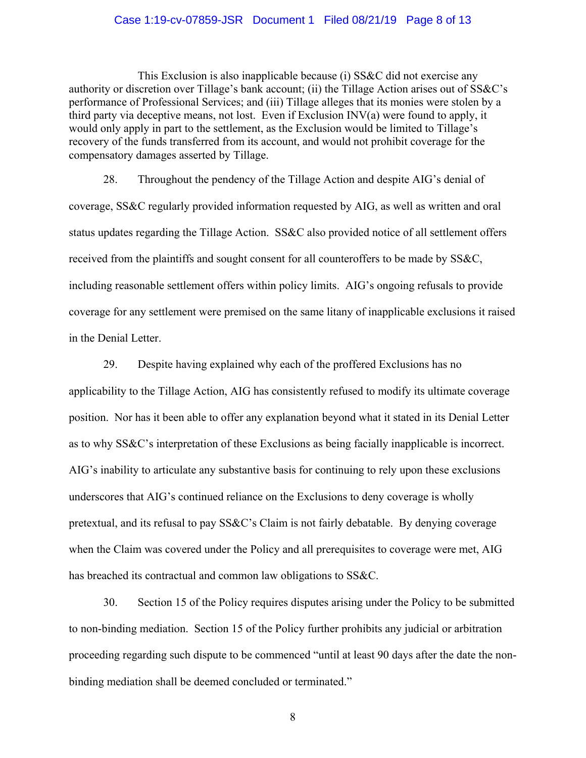#### Case 1:19-cv-07859-JSR Document 1 Filed 08/21/19 Page 8 of 13

This Exclusion is also inapplicable because (i) SS&C did not exercise any authority or discretion over Tillage's bank account; (ii) the Tillage Action arises out of SS&C's performance of Professional Services; and (iii) Tillage alleges that its monies were stolen by a third party via deceptive means, not lost. Even if Exclusion INV(a) were found to apply, it would only apply in part to the settlement, as the Exclusion would be limited to Tillage's recovery of the funds transferred from its account, and would not prohibit coverage for the compensatory damages asserted by Tillage.

28. Throughout the pendency of the Tillage Action and despite AIG's denial of coverage, SS&C regularly provided information requested by AIG, as well as written and oral status updates regarding the Tillage Action. SS&C also provided notice of all settlement offers received from the plaintiffs and sought consent for all counteroffers to be made by SS&C, including reasonable settlement offers within policy limits. AIG's ongoing refusals to provide coverage for any settlement were premised on the same litany of inapplicable exclusions it raised in the Denial Letter.

29. Despite having explained why each of the proffered Exclusions has no applicability to the Tillage Action, AIG has consistently refused to modify its ultimate coverage position. Nor has it been able to offer any explanation beyond what it stated in its Denial Letter as to why SS&C's interpretation of these Exclusions as being facially inapplicable is incorrect. AIG's inability to articulate any substantive basis for continuing to rely upon these exclusions underscores that AIG's continued reliance on the Exclusions to deny coverage is wholly pretextual, and its refusal to pay SS&C's Claim is not fairly debatable. By denying coverage when the Claim was covered under the Policy and all prerequisites to coverage were met, AIG has breached its contractual and common law obligations to SS&C.

30. Section 15 of the Policy requires disputes arising under the Policy to be submitted to non-binding mediation. Section 15 of the Policy further prohibits any judicial or arbitration proceeding regarding such dispute to be commenced "until at least 90 days after the date the nonbinding mediation shall be deemed concluded or terminated."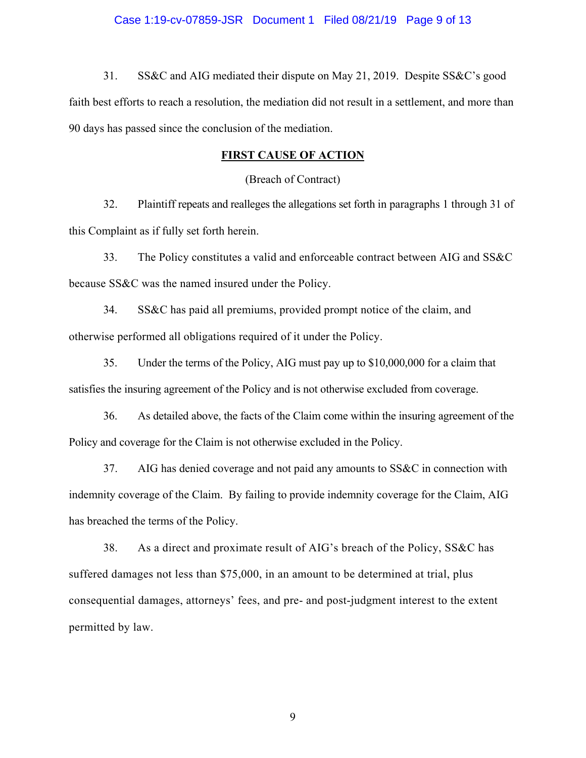31. SS&C and AIG mediated their dispute on May 21, 2019. Despite SS&C's good faith best efforts to reach a resolution, the mediation did not result in a settlement, and more than 90 days has passed since the conclusion of the mediation.

### **FIRST CAUSE OF ACTION**

(Breach of Contract)

32. Plaintiff repeats and realleges the allegations set forth in paragraphs 1 through 31 of this Complaint as if fully set forth herein.

33. The Policy constitutes a valid and enforceable contract between AIG and SS&C because SS&C was the named insured under the Policy.

34. SS&C has paid all premiums, provided prompt notice of the claim, and otherwise performed all obligations required of it under the Policy.

35. Under the terms of the Policy, AIG must pay up to \$10,000,000 for a claim that satisfies the insuring agreement of the Policy and is not otherwise excluded from coverage.

36. As detailed above, the facts of the Claim come within the insuring agreement of the Policy and coverage for the Claim is not otherwise excluded in the Policy.

37. AIG has denied coverage and not paid any amounts to SS&C in connection with indemnity coverage of the Claim. By failing to provide indemnity coverage for the Claim, AIG has breached the terms of the Policy.

38. As a direct and proximate result of AIG's breach of the Policy, SS&C has suffered damages not less than \$75,000, in an amount to be determined at trial, plus consequential damages, attorneys' fees, and pre- and post-judgment interest to the extent permitted by law.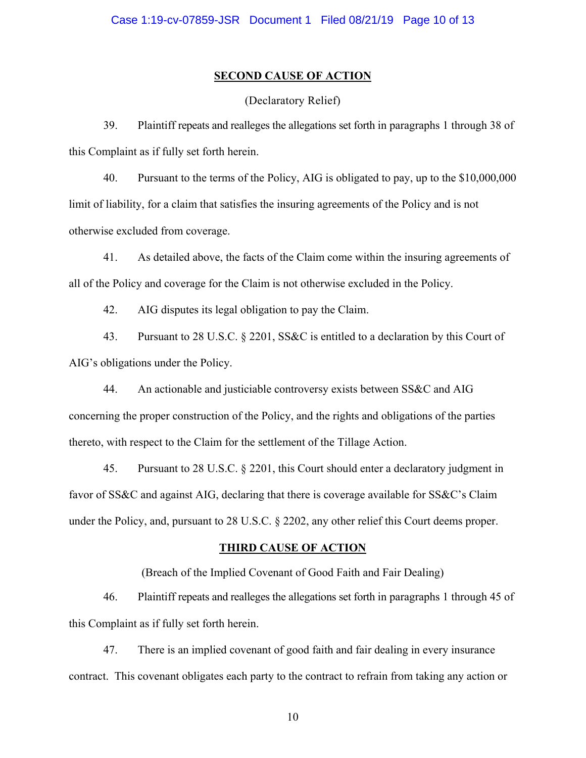### **SECOND CAUSE OF ACTION**

(Declaratory Relief)

39. Plaintiff repeats and realleges the allegations set forth in paragraphs 1 through 38 of this Complaint as if fully set forth herein.

40. Pursuant to the terms of the Policy, AIG is obligated to pay, up to the \$10,000,000 limit of liability, for a claim that satisfies the insuring agreements of the Policy and is not otherwise excluded from coverage.

41. As detailed above, the facts of the Claim come within the insuring agreements of all of the Policy and coverage for the Claim is not otherwise excluded in the Policy.

42. AIG disputes its legal obligation to pay the Claim.

43. Pursuant to 28 U.S.C. § 2201, SS&C is entitled to a declaration by this Court of AIG's obligations under the Policy.

44. An actionable and justiciable controversy exists between SS&C and AIG concerning the proper construction of the Policy, and the rights and obligations of the parties thereto, with respect to the Claim for the settlement of the Tillage Action.

45. Pursuant to 28 U.S.C. § 2201, this Court should enter a declaratory judgment in favor of SS&C and against AIG, declaring that there is coverage available for SS&C's Claim under the Policy, and, pursuant to 28 U.S.C. § 2202, any other relief this Court deems proper.

## **THIRD CAUSE OF ACTION**

(Breach of the Implied Covenant of Good Faith and Fair Dealing)

46. Plaintiff repeats and realleges the allegations set forth in paragraphs 1 through 45 of this Complaint as if fully set forth herein.

47. There is an implied covenant of good faith and fair dealing in every insurance contract. This covenant obligates each party to the contract to refrain from taking any action or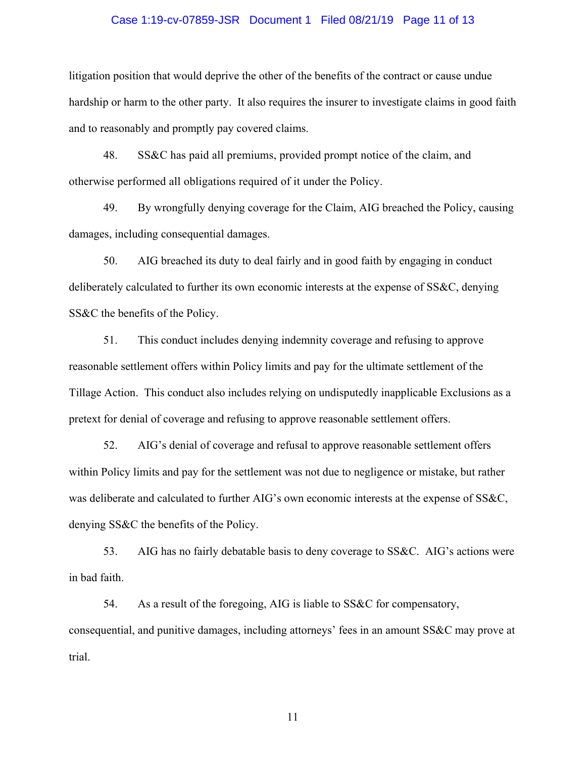#### Case 1:19-cv-07859-JSR Document 1 Filed 08/21/19 Page 11 of 13

litigation position that would deprive the other of the benefits of the contract or cause undue hardship or harm to the other party. It also requires the insurer to investigate claims in good faith and to reasonably and promptly pay covered claims.

48. SS&C has paid all premiums, provided prompt notice of the claim, and otherwise performed all obligations required of it under the Policy.

49. By wrongfully denying coverage for the Claim, AIG breached the Policy, causing damages, including consequential damages.

50. AIG breached its duty to deal fairly and in good faith by engaging in conduct deliberately calculated to further its own economic interests at the expense of SS&C, denying SS&C the benefits of the Policy.

51. This conduct includes denying indemnity coverage and refusing to approve reasonable settlement offers within Policy limits and pay for the ultimate settlement of the Tillage Action. This conduct also includes relying on undisputedly inapplicable Exclusions as a pretext for denial of coverage and refusing to approve reasonable settlement offers.

52. AIG's denial of coverage and refusal to approve reasonable settlement offers within Policy limits and pay for the settlement was not due to negligence or mistake, but rather was deliberate and calculated to further AIG's own economic interests at the expense of SS&C, denying SS&C the benefits of the Policy.

53. AIG has no fairly debatable basis to deny coverage to SS&C. AIG's actions were in bad faith.

54. As a result of the foregoing, AIG is liable to SS&C for compensatory, consequential, and punitive damages, including attorneys' fees in an amount SS&C may prove at trial.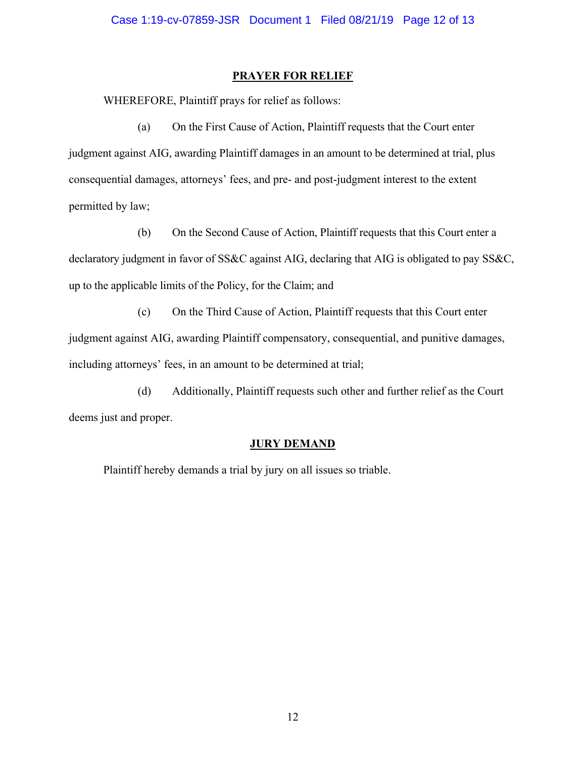### **PRAYER FOR RELIEF**

WHEREFORE, Plaintiff prays for relief as follows:

(a) On the First Cause of Action, Plaintiff requests that the Court enter judgment against AIG, awarding Plaintiff damages in an amount to be determined at trial, plus consequential damages, attorneys' fees, and pre- and post-judgment interest to the extent permitted by law;

(b) On the Second Cause of Action, Plaintiff requests that this Court enter a declaratory judgment in favor of SS&C against AIG, declaring that AIG is obligated to pay SS&C, up to the applicable limits of the Policy, for the Claim; and

(c) On the Third Cause of Action, Plaintiff requests that this Court enter judgment against AIG, awarding Plaintiff compensatory, consequential, and punitive damages, including attorneys' fees, in an amount to be determined at trial;

(d) Additionally, Plaintiff requests such other and further relief as the Court deems just and proper.

## **JURY DEMAND**

Plaintiff hereby demands a trial by jury on all issues so triable.